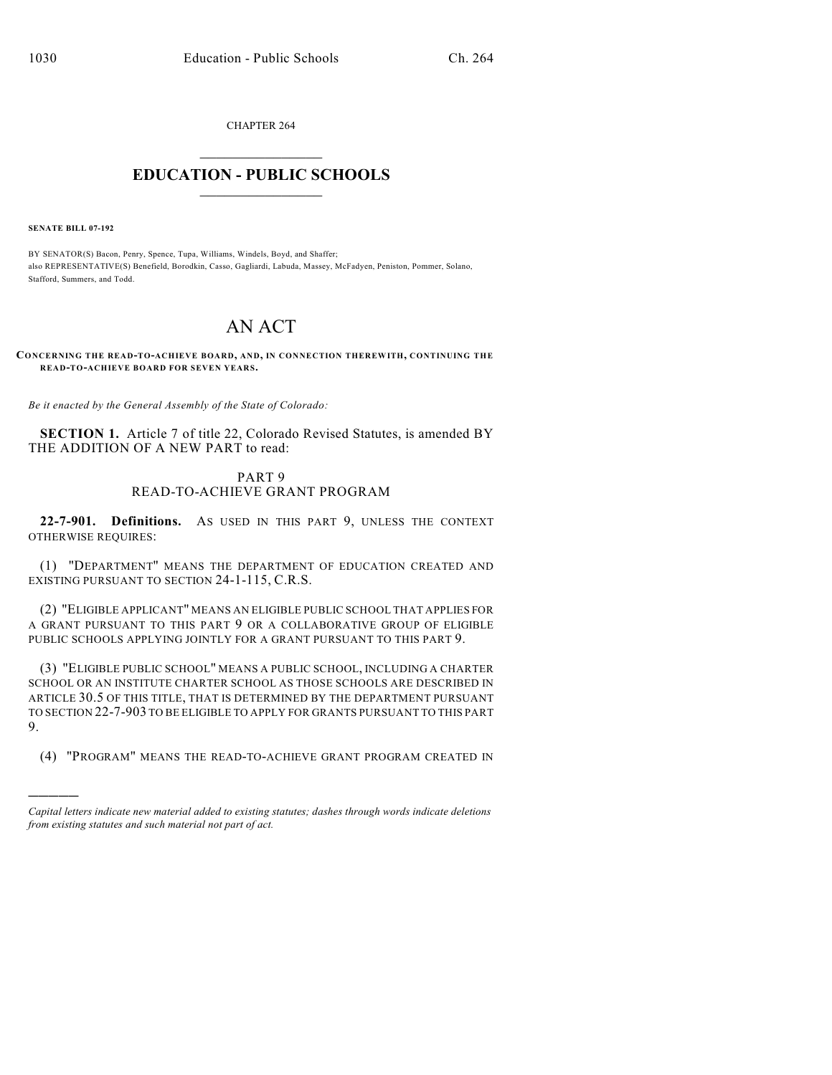CHAPTER 264  $\mathcal{L}_\text{max}$  . The set of the set of the set of the set of the set of the set of the set of the set of the set of the set of the set of the set of the set of the set of the set of the set of the set of the set of the set

## **EDUCATION - PUBLIC SCHOOLS**  $\_$   $\_$   $\_$   $\_$   $\_$   $\_$   $\_$   $\_$   $\_$

**SENATE BILL 07-192**

)))))

BY SENATOR(S) Bacon, Penry, Spence, Tupa, Williams, Windels, Boyd, and Shaffer; also REPRESENTATIVE(S) Benefield, Borodkin, Casso, Gagliardi, Labuda, Massey, McFadyen, Peniston, Pommer, Solano, Stafford, Summers, and Todd.

## AN ACT

**CONCERNING THE READ-TO-ACHIEVE BOARD, AND, IN CONNECTION THEREWITH, CONTINUING TH E READ-TO-ACHIEVE BOARD FOR SEVEN YEARS.**

*Be it enacted by the General Assembly of the State of Colorado:*

**SECTION 1.** Article 7 of title 22, Colorado Revised Statutes, is amended BY THE ADDITION OF A NEW PART to read:

## PART 9 READ-TO-ACHIEVE GRANT PROGRAM

**22-7-901. Definitions.** AS USED IN THIS PART 9, UNLESS THE CONTEXT OTHERWISE REQUIRES:

(1) "DEPARTMENT" MEANS THE DEPARTMENT OF EDUCATION CREATED AND EXISTING PURSUANT TO SECTION 24-1-115, C.R.S.

(2) "ELIGIBLE APPLICANT" MEANS AN ELIGIBLE PUBLIC SCHOOL THAT APPLIES FOR A GRANT PURSUANT TO THIS PART 9 OR A COLLABORATIVE GROUP OF ELIGIBLE PUBLIC SCHOOLS APPLYING JOINTLY FOR A GRANT PURSUANT TO THIS PART 9.

(3) "ELIGIBLE PUBLIC SCHOOL" MEANS A PUBLIC SCHOOL, INCLUDING A CHARTER SCHOOL OR AN INSTITUTE CHARTER SCHOOL AS THOSE SCHOOLS ARE DESCRIBED IN ARTICLE 30.5 OF THIS TITLE, THAT IS DETERMINED BY THE DEPARTMENT PURSUANT TO SECTION 22-7-903 TO BE ELIGIBLE TO APPLY FOR GRANTS PURSUANT TO THIS PART 9.

(4) "PROGRAM" MEANS THE READ-TO-ACHIEVE GRANT PROGRAM CREATED IN

*Capital letters indicate new material added to existing statutes; dashes through words indicate deletions from existing statutes and such material not part of act.*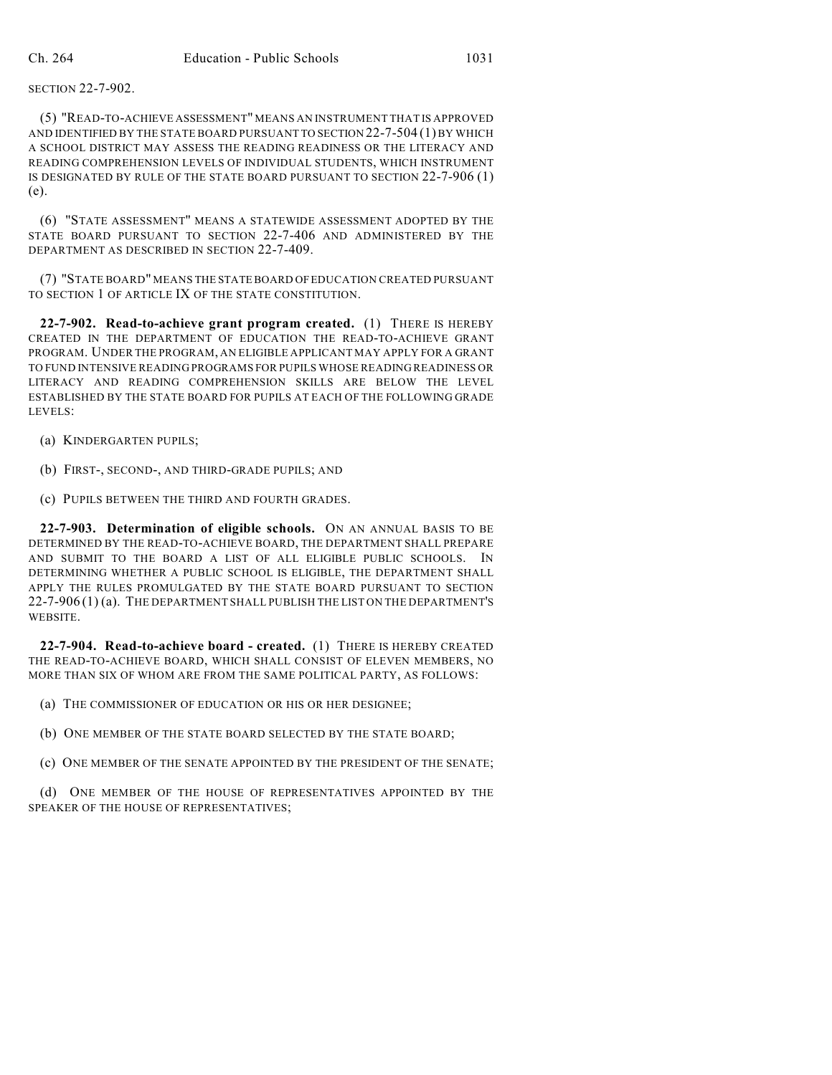SECTION 22-7-902.

(5) "READ-TO-ACHIEVE ASSESSMENT" MEANS AN INSTRUMENT THAT IS APPROVED AND IDENTIFIED BY THE STATE BOARD PURSUANT TO SECTION 22-7-504 (1) BY WHICH A SCHOOL DISTRICT MAY ASSESS THE READING READINESS OR THE LITERACY AND READING COMPREHENSION LEVELS OF INDIVIDUAL STUDENTS, WHICH INSTRUMENT IS DESIGNATED BY RULE OF THE STATE BOARD PURSUANT TO SECTION 22-7-906 (1) (e).

(6) "STATE ASSESSMENT" MEANS A STATEWIDE ASSESSMENT ADOPTED BY THE STATE BOARD PURSUANT TO SECTION 22-7-406 AND ADMINISTERED BY THE DEPARTMENT AS DESCRIBED IN SECTION 22-7-409.

(7) "STATE BOARD" MEANS THE STATE BOARD OF EDUCATION CREATED PURSUANT TO SECTION 1 OF ARTICLE IX OF THE STATE CONSTITUTION.

**22-7-902. Read-to-achieve grant program created.** (1) THERE IS HEREBY CREATED IN THE DEPARTMENT OF EDUCATION THE READ-TO-ACHIEVE GRANT PROGRAM. UNDER THE PROGRAM, AN ELIGIBLE APPLICANT MAY APPLY FOR A GRANT TO FUND INTENSIVE READING PROGRAMS FOR PUPILS WHOSE READING READINESS OR LITERACY AND READING COMPREHENSION SKILLS ARE BELOW THE LEVEL ESTABLISHED BY THE STATE BOARD FOR PUPILS AT EACH OF THE FOLLOWING GRADE LEVELS:

- (a) KINDERGARTEN PUPILS;
- (b) FIRST-, SECOND-, AND THIRD-GRADE PUPILS; AND
- (c) PUPILS BETWEEN THE THIRD AND FOURTH GRADES.

**22-7-903. Determination of eligible schools.** ON AN ANNUAL BASIS TO BE DETERMINED BY THE READ-TO-ACHIEVE BOARD, THE DEPARTMENT SHALL PREPARE AND SUBMIT TO THE BOARD A LIST OF ALL ELIGIBLE PUBLIC SCHOOLS. IN DETERMINING WHETHER A PUBLIC SCHOOL IS ELIGIBLE, THE DEPARTMENT SHALL APPLY THE RULES PROMULGATED BY THE STATE BOARD PURSUANT TO SECTION 22-7-906 (1) (a). THE DEPARTMENT SHALL PUBLISH THE LIST ON THE DEPARTMENT'S WEBSITE.

**22-7-904. Read-to-achieve board - created.** (1) THERE IS HEREBY CREATED THE READ-TO-ACHIEVE BOARD, WHICH SHALL CONSIST OF ELEVEN MEMBERS, NO MORE THAN SIX OF WHOM ARE FROM THE SAME POLITICAL PARTY, AS FOLLOWS:

(a) THE COMMISSIONER OF EDUCATION OR HIS OR HER DESIGNEE;

(b) ONE MEMBER OF THE STATE BOARD SELECTED BY THE STATE BOARD;

(c) ONE MEMBER OF THE SENATE APPOINTED BY THE PRESIDENT OF THE SENATE;

(d) ONE MEMBER OF THE HOUSE OF REPRESENTATIVES APPOINTED BY THE SPEAKER OF THE HOUSE OF REPRESENTATIVES;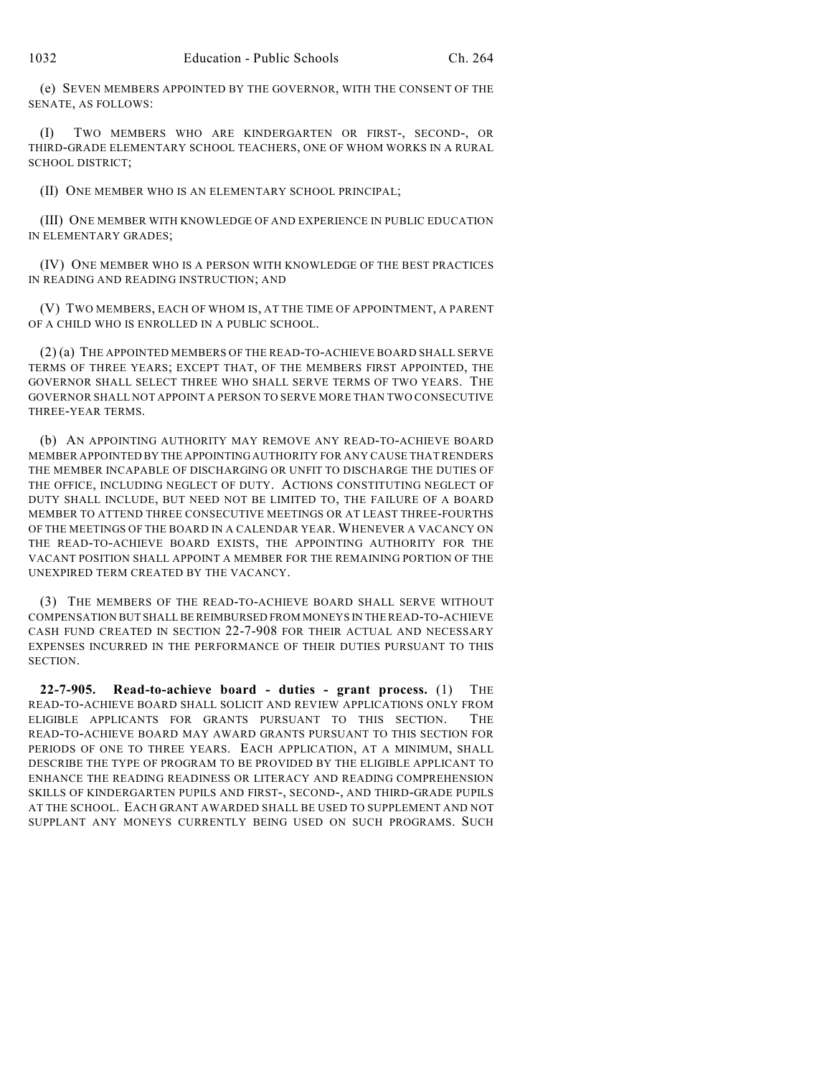(e) SEVEN MEMBERS APPOINTED BY THE GOVERNOR, WITH THE CONSENT OF THE SENATE, AS FOLLOWS:

(I) TWO MEMBERS WHO ARE KINDERGARTEN OR FIRST-, SECOND-, OR THIRD-GRADE ELEMENTARY SCHOOL TEACHERS, ONE OF WHOM WORKS IN A RURAL SCHOOL DISTRICT;

(II) ONE MEMBER WHO IS AN ELEMENTARY SCHOOL PRINCIPAL;

(III) ONE MEMBER WITH KNOWLEDGE OF AND EXPERIENCE IN PUBLIC EDUCATION IN ELEMENTARY GRADES;

(IV) ONE MEMBER WHO IS A PERSON WITH KNOWLEDGE OF THE BEST PRACTICES IN READING AND READING INSTRUCTION; AND

(V) TWO MEMBERS, EACH OF WHOM IS, AT THE TIME OF APPOINTMENT, A PARENT OF A CHILD WHO IS ENROLLED IN A PUBLIC SCHOOL.

(2) (a) THE APPOINTED MEMBERS OF THE READ-TO-ACHIEVE BOARD SHALL SERVE TERMS OF THREE YEARS; EXCEPT THAT, OF THE MEMBERS FIRST APPOINTED, THE GOVERNOR SHALL SELECT THREE WHO SHALL SERVE TERMS OF TWO YEARS. THE GOVERNOR SHALL NOT APPOINT A PERSON TO SERVE MORE THAN TWO CONSECUTIVE THREE-YEAR TERMS.

(b) AN APPOINTING AUTHORITY MAY REMOVE ANY READ-TO-ACHIEVE BOARD MEMBER APPOINTED BY THE APPOINTING AUTHORITY FOR ANY CAUSE THAT RENDERS THE MEMBER INCAPABLE OF DISCHARGING OR UNFIT TO DISCHARGE THE DUTIES OF THE OFFICE, INCLUDING NEGLECT OF DUTY. ACTIONS CONSTITUTING NEGLECT OF DUTY SHALL INCLUDE, BUT NEED NOT BE LIMITED TO, THE FAILURE OF A BOARD MEMBER TO ATTEND THREE CONSECUTIVE MEETINGS OR AT LEAST THREE-FOURTHS OF THE MEETINGS OF THE BOARD IN A CALENDAR YEAR. WHENEVER A VACANCY ON THE READ-TO-ACHIEVE BOARD EXISTS, THE APPOINTING AUTHORITY FOR THE VACANT POSITION SHALL APPOINT A MEMBER FOR THE REMAINING PORTION OF THE UNEXPIRED TERM CREATED BY THE VACANCY.

(3) THE MEMBERS OF THE READ-TO-ACHIEVE BOARD SHALL SERVE WITHOUT COMPENSATION BUT SHALL BE REIMBURSED FROM MONEYS IN THE READ-TO-ACHIEVE CASH FUND CREATED IN SECTION 22-7-908 FOR THEIR ACTUAL AND NECESSARY EXPENSES INCURRED IN THE PERFORMANCE OF THEIR DUTIES PURSUANT TO THIS SECTION.

**22-7-905. Read-to-achieve board - duties - grant process.** (1) THE READ-TO-ACHIEVE BOARD SHALL SOLICIT AND REVIEW APPLICATIONS ONLY FROM ELIGIBLE APPLICANTS FOR GRANTS PURSUANT TO THIS SECTION. THE READ-TO-ACHIEVE BOARD MAY AWARD GRANTS PURSUANT TO THIS SECTION FOR PERIODS OF ONE TO THREE YEARS. EACH APPLICATION, AT A MINIMUM, SHALL DESCRIBE THE TYPE OF PROGRAM TO BE PROVIDED BY THE ELIGIBLE APPLICANT TO ENHANCE THE READING READINESS OR LITERACY AND READING COMPREHENSION SKILLS OF KINDERGARTEN PUPILS AND FIRST-, SECOND-, AND THIRD-GRADE PUPILS AT THE SCHOOL. EACH GRANT AWARDED SHALL BE USED TO SUPPLEMENT AND NOT SUPPLANT ANY MONEYS CURRENTLY BEING USED ON SUCH PROGRAMS. SUCH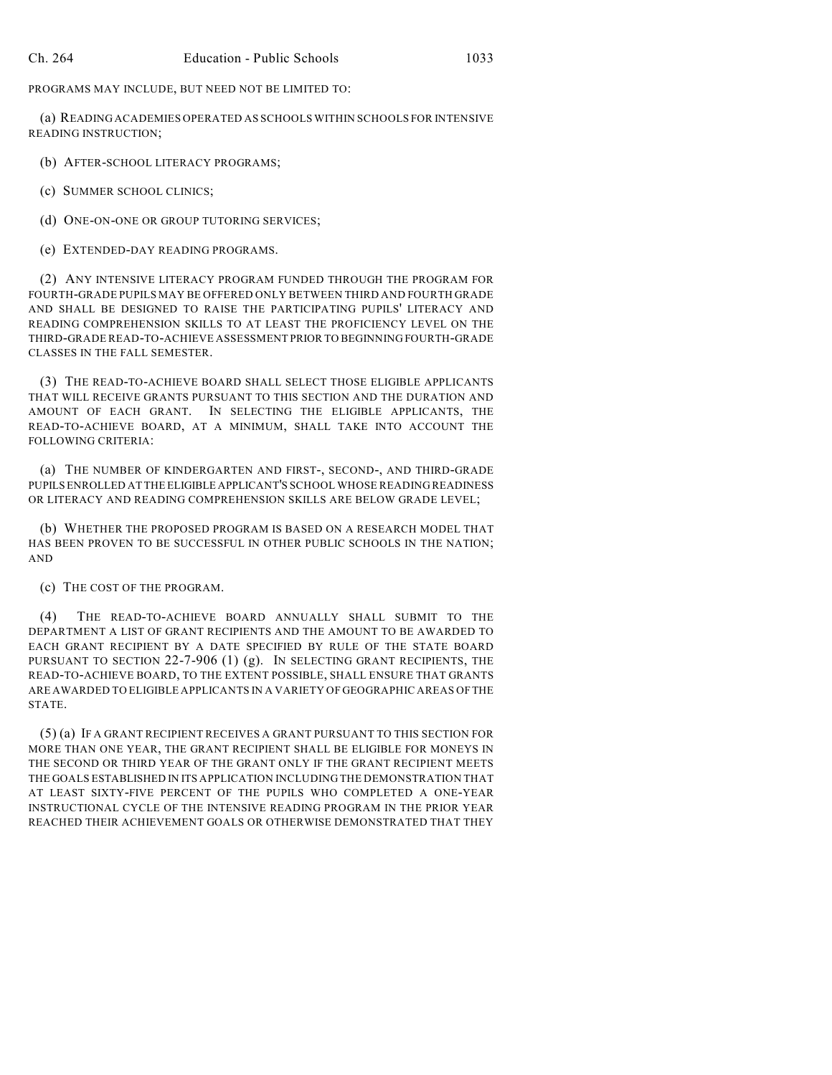PROGRAMS MAY INCLUDE, BUT NEED NOT BE LIMITED TO:

(a) READING ACADEMIES OPERATED AS SCHOOLS WITHIN SCHOOLS FOR INTENSIVE READING INSTRUCTION;

(b) AFTER-SCHOOL LITERACY PROGRAMS;

(c) SUMMER SCHOOL CLINICS;

(d) ONE-ON-ONE OR GROUP TUTORING SERVICES;

(e) EXTENDED-DAY READING PROGRAMS.

(2) ANY INTENSIVE LITERACY PROGRAM FUNDED THROUGH THE PROGRAM FOR FOURTH-GRADE PUPILS MAY BE OFFERED ONLY BETWEEN THIRD AND FOURTH GRADE AND SHALL BE DESIGNED TO RAISE THE PARTICIPATING PUPILS' LITERACY AND READING COMPREHENSION SKILLS TO AT LEAST THE PROFICIENCY LEVEL ON THE THIRD-GRADE READ-TO-ACHIEVE ASSESSMENT PRIOR TO BEGINNING FOURTH-GRADE CLASSES IN THE FALL SEMESTER.

(3) THE READ-TO-ACHIEVE BOARD SHALL SELECT THOSE ELIGIBLE APPLICANTS THAT WILL RECEIVE GRANTS PURSUANT TO THIS SECTION AND THE DURATION AND AMOUNT OF EACH GRANT. IN SELECTING THE ELIGIBLE APPLICANTS, THE READ-TO-ACHIEVE BOARD, AT A MINIMUM, SHALL TAKE INTO ACCOUNT THE FOLLOWING CRITERIA:

(a) THE NUMBER OF KINDERGARTEN AND FIRST-, SECOND-, AND THIRD-GRADE PUPILS ENROLLED AT THE ELIGIBLE APPLICANT'S SCHOOL WHOSE READING READINESS OR LITERACY AND READING COMPREHENSION SKILLS ARE BELOW GRADE LEVEL;

(b) WHETHER THE PROPOSED PROGRAM IS BASED ON A RESEARCH MODEL THAT HAS BEEN PROVEN TO BE SUCCESSFUL IN OTHER PUBLIC SCHOOLS IN THE NATION; AND

(c) THE COST OF THE PROGRAM.

(4) THE READ-TO-ACHIEVE BOARD ANNUALLY SHALL SUBMIT TO THE DEPARTMENT A LIST OF GRANT RECIPIENTS AND THE AMOUNT TO BE AWARDED TO EACH GRANT RECIPIENT BY A DATE SPECIFIED BY RULE OF THE STATE BOARD PURSUANT TO SECTION 22-7-906 (1) (g). IN SELECTING GRANT RECIPIENTS, THE READ-TO-ACHIEVE BOARD, TO THE EXTENT POSSIBLE, SHALL ENSURE THAT GRANTS ARE AWARDED TO ELIGIBLE APPLICANTS IN A VARIETY OF GEOGRAPHIC AREAS OF THE STATE.

(5) (a) IF A GRANT RECIPIENT RECEIVES A GRANT PURSUANT TO THIS SECTION FOR MORE THAN ONE YEAR, THE GRANT RECIPIENT SHALL BE ELIGIBLE FOR MONEYS IN THE SECOND OR THIRD YEAR OF THE GRANT ONLY IF THE GRANT RECIPIENT MEETS THE GOALS ESTABLISHED IN ITS APPLICATION INCLUDING THE DEMONSTRATION THAT AT LEAST SIXTY-FIVE PERCENT OF THE PUPILS WHO COMPLETED A ONE-YEAR INSTRUCTIONAL CYCLE OF THE INTENSIVE READING PROGRAM IN THE PRIOR YEAR REACHED THEIR ACHIEVEMENT GOALS OR OTHERWISE DEMONSTRATED THAT THEY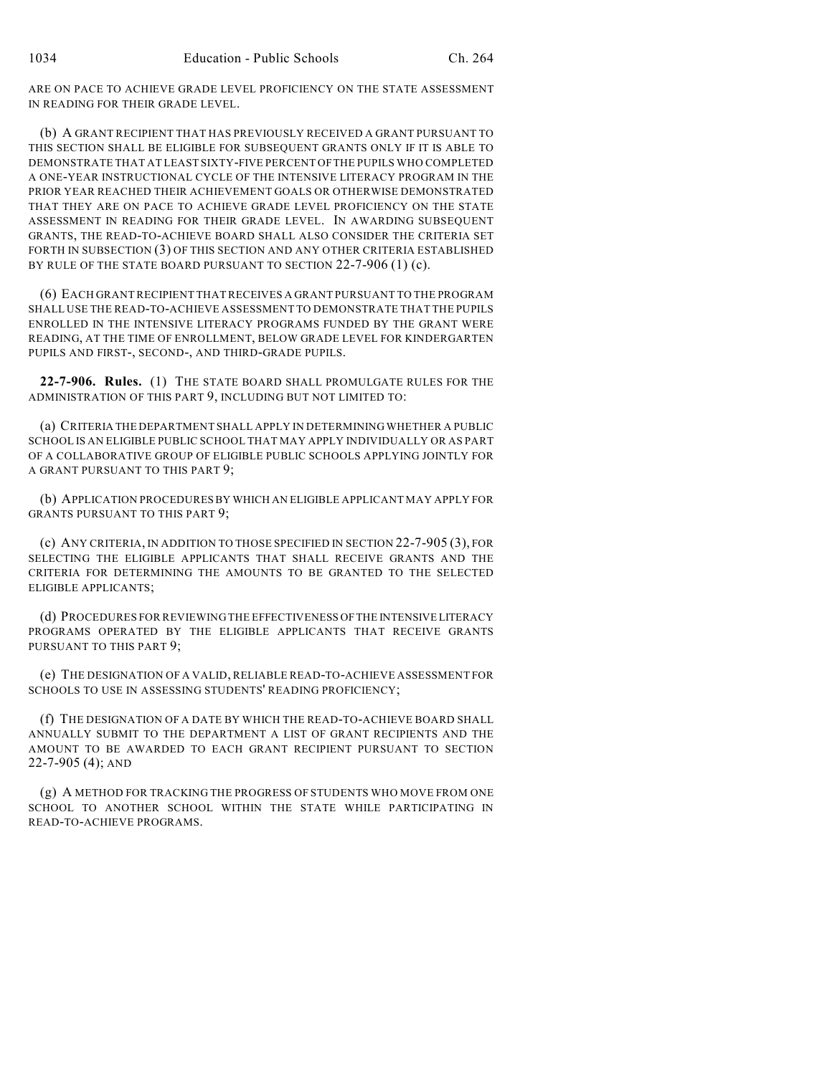ARE ON PACE TO ACHIEVE GRADE LEVEL PROFICIENCY ON THE STATE ASSESSMENT IN READING FOR THEIR GRADE LEVEL.

(b) A GRANT RECIPIENT THAT HAS PREVIOUSLY RECEIVED A GRANT PURSUANT TO THIS SECTION SHALL BE ELIGIBLE FOR SUBSEQUENT GRANTS ONLY IF IT IS ABLE TO DEMONSTRATE THAT AT LEAST SIXTY-FIVE PERCENT OF THE PUPILS WHO COMPLETED A ONE-YEAR INSTRUCTIONAL CYCLE OF THE INTENSIVE LITERACY PROGRAM IN THE PRIOR YEAR REACHED THEIR ACHIEVEMENT GOALS OR OTHERWISE DEMONSTRATED THAT THEY ARE ON PACE TO ACHIEVE GRADE LEVEL PROFICIENCY ON THE STATE ASSESSMENT IN READING FOR THEIR GRADE LEVEL. IN AWARDING SUBSEQUENT GRANTS, THE READ-TO-ACHIEVE BOARD SHALL ALSO CONSIDER THE CRITERIA SET FORTH IN SUBSECTION (3) OF THIS SECTION AND ANY OTHER CRITERIA ESTABLISHED BY RULE OF THE STATE BOARD PURSUANT TO SECTION 22-7-906 (1) (c).

(6) EACH GRANT RECIPIENT THAT RECEIVES A GRANT PURSUANT TO THE PROGRAM SHALL USE THE READ-TO-ACHIEVE ASSESSMENT TO DEMONSTRATE THAT THE PUPILS ENROLLED IN THE INTENSIVE LITERACY PROGRAMS FUNDED BY THE GRANT WERE READING, AT THE TIME OF ENROLLMENT, BELOW GRADE LEVEL FOR KINDERGARTEN PUPILS AND FIRST-, SECOND-, AND THIRD-GRADE PUPILS.

**22-7-906. Rules.** (1) THE STATE BOARD SHALL PROMULGATE RULES FOR THE ADMINISTRATION OF THIS PART 9, INCLUDING BUT NOT LIMITED TO:

(a) CRITERIA THE DEPARTMENT SHALL APPLY IN DETERMINING WHETHER A PUBLIC SCHOOL IS AN ELIGIBLE PUBLIC SCHOOL THAT MAY APPLY INDIVIDUALLY OR AS PART OF A COLLABORATIVE GROUP OF ELIGIBLE PUBLIC SCHOOLS APPLYING JOINTLY FOR A GRANT PURSUANT TO THIS PART 9;

(b) APPLICATION PROCEDURES BY WHICH AN ELIGIBLE APPLICANT MAY APPLY FOR GRANTS PURSUANT TO THIS PART 9;

(c) ANY CRITERIA, IN ADDITION TO THOSE SPECIFIED IN SECTION 22-7-905 (3), FOR SELECTING THE ELIGIBLE APPLICANTS THAT SHALL RECEIVE GRANTS AND THE CRITERIA FOR DETERMINING THE AMOUNTS TO BE GRANTED TO THE SELECTED ELIGIBLE APPLICANTS;

(d) PROCEDURES FOR REVIEWING THE EFFECTIVENESS OF THE INTENSIVE LITERACY PROGRAMS OPERATED BY THE ELIGIBLE APPLICANTS THAT RECEIVE GRANTS PURSUANT TO THIS PART 9;

(e) THE DESIGNATION OF A VALID, RELIABLE READ-TO-ACHIEVE ASSESSMENT FOR SCHOOLS TO USE IN ASSESSING STUDENTS' READING PROFICIENCY;

(f) THE DESIGNATION OF A DATE BY WHICH THE READ-TO-ACHIEVE BOARD SHALL ANNUALLY SUBMIT TO THE DEPARTMENT A LIST OF GRANT RECIPIENTS AND THE AMOUNT TO BE AWARDED TO EACH GRANT RECIPIENT PURSUANT TO SECTION 22-7-905 (4); AND

(g) A METHOD FOR TRACKING THE PROGRESS OF STUDENTS WHO MOVE FROM ONE SCHOOL TO ANOTHER SCHOOL WITHIN THE STATE WHILE PARTICIPATING IN READ-TO-ACHIEVE PROGRAMS.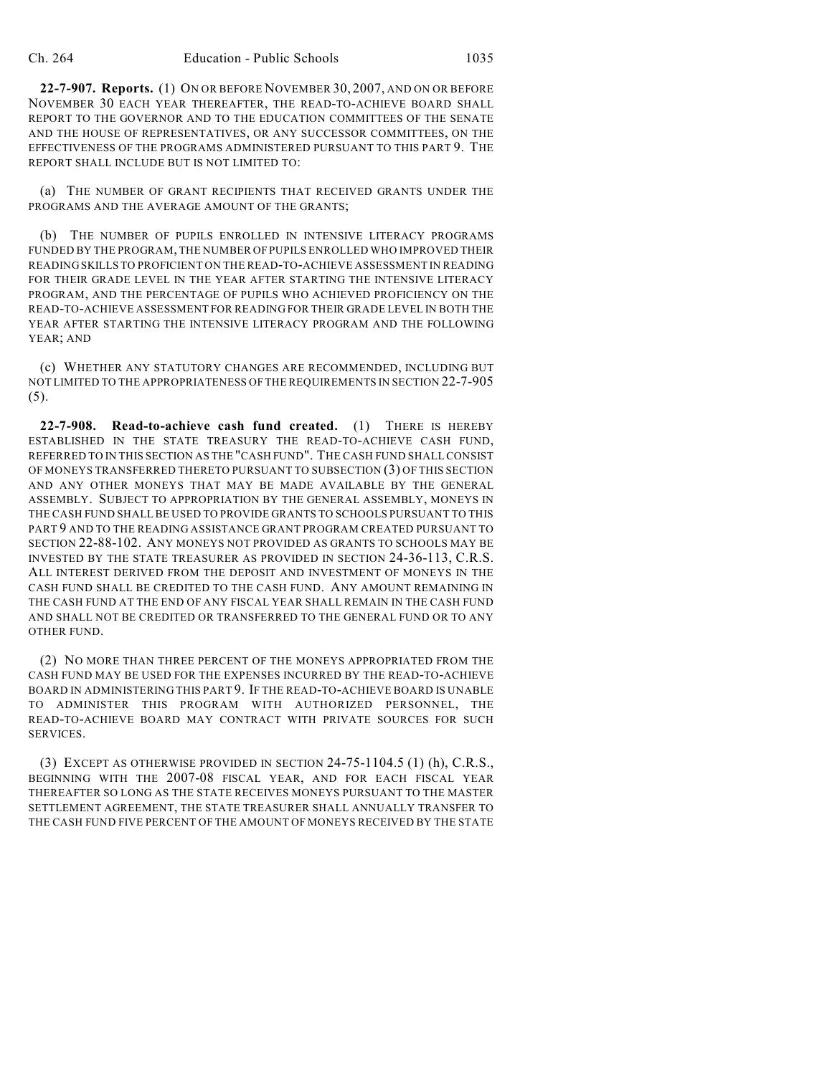**22-7-907. Reports.** (1) ON OR BEFORE NOVEMBER 30, 2007, AND ON OR BEFORE NOVEMBER 30 EACH YEAR THEREAFTER, THE READ-TO-ACHIEVE BOARD SHALL REPORT TO THE GOVERNOR AND TO THE EDUCATION COMMITTEES OF THE SENATE AND THE HOUSE OF REPRESENTATIVES, OR ANY SUCCESSOR COMMITTEES, ON THE EFFECTIVENESS OF THE PROGRAMS ADMINISTERED PURSUANT TO THIS PART 9. THE REPORT SHALL INCLUDE BUT IS NOT LIMITED TO:

(a) THE NUMBER OF GRANT RECIPIENTS THAT RECEIVED GRANTS UNDER THE PROGRAMS AND THE AVERAGE AMOUNT OF THE GRANTS;

(b) THE NUMBER OF PUPILS ENROLLED IN INTENSIVE LITERACY PROGRAMS FUNDED BY THE PROGRAM, THE NUMBER OF PUPILS ENROLLED WHO IMPROVED THEIR READING SKILLS TO PROFICIENT ON THE READ-TO-ACHIEVE ASSESSMENT IN READING FOR THEIR GRADE LEVEL IN THE YEAR AFTER STARTING THE INTENSIVE LITERACY PROGRAM, AND THE PERCENTAGE OF PUPILS WHO ACHIEVED PROFICIENCY ON THE READ-TO-ACHIEVE ASSESSMENT FOR READING FOR THEIR GRADE LEVEL IN BOTH THE YEAR AFTER STARTING THE INTENSIVE LITERACY PROGRAM AND THE FOLLOWING YEAR; AND

(c) WHETHER ANY STATUTORY CHANGES ARE RECOMMENDED, INCLUDING BUT NOT LIMITED TO THE APPROPRIATENESS OF THE REQUIREMENTS IN SECTION 22-7-905 (5).

**22-7-908. Read-to-achieve cash fund created.** (1) THERE IS HEREBY ESTABLISHED IN THE STATE TREASURY THE READ-TO-ACHIEVE CASH FUND, REFERRED TO IN THIS SECTION AS THE "CASH FUND". THE CASH FUND SHALL CONSIST OF MONEYS TRANSFERRED THERETO PURSUANT TO SUBSECTION (3) OF THIS SECTION AND ANY OTHER MONEYS THAT MAY BE MADE AVAILABLE BY THE GENERAL ASSEMBLY. SUBJECT TO APPROPRIATION BY THE GENERAL ASSEMBLY, MONEYS IN THE CASH FUND SHALL BE USED TO PROVIDE GRANTS TO SCHOOLS PURSUANT TO THIS PART 9 AND TO THE READING ASSISTANCE GRANT PROGRAM CREATED PURSUANT TO SECTION 22-88-102. ANY MONEYS NOT PROVIDED AS GRANTS TO SCHOOLS MAY BE INVESTED BY THE STATE TREASURER AS PROVIDED IN SECTION 24-36-113, C.R.S. ALL INTEREST DERIVED FROM THE DEPOSIT AND INVESTMENT OF MONEYS IN THE CASH FUND SHALL BE CREDITED TO THE CASH FUND. ANY AMOUNT REMAINING IN THE CASH FUND AT THE END OF ANY FISCAL YEAR SHALL REMAIN IN THE CASH FUND AND SHALL NOT BE CREDITED OR TRANSFERRED TO THE GENERAL FUND OR TO ANY OTHER FUND.

(2) NO MORE THAN THREE PERCENT OF THE MONEYS APPROPRIATED FROM THE CASH FUND MAY BE USED FOR THE EXPENSES INCURRED BY THE READ-TO-ACHIEVE BOARD IN ADMINISTERING THIS PART 9. IF THE READ-TO-ACHIEVE BOARD IS UNABLE TO ADMINISTER THIS PROGRAM WITH AUTHORIZED PERSONNEL, THE READ-TO-ACHIEVE BOARD MAY CONTRACT WITH PRIVATE SOURCES FOR SUCH SERVICES.

(3) EXCEPT AS OTHERWISE PROVIDED IN SECTION 24-75-1104.5 (1) (h), C.R.S., BEGINNING WITH THE 2007-08 FISCAL YEAR, AND FOR EACH FISCAL YEAR THEREAFTER SO LONG AS THE STATE RECEIVES MONEYS PURSUANT TO THE MASTER SETTLEMENT AGREEMENT, THE STATE TREASURER SHALL ANNUALLY TRANSFER TO THE CASH FUND FIVE PERCENT OF THE AMOUNT OF MONEYS RECEIVED BY THE STATE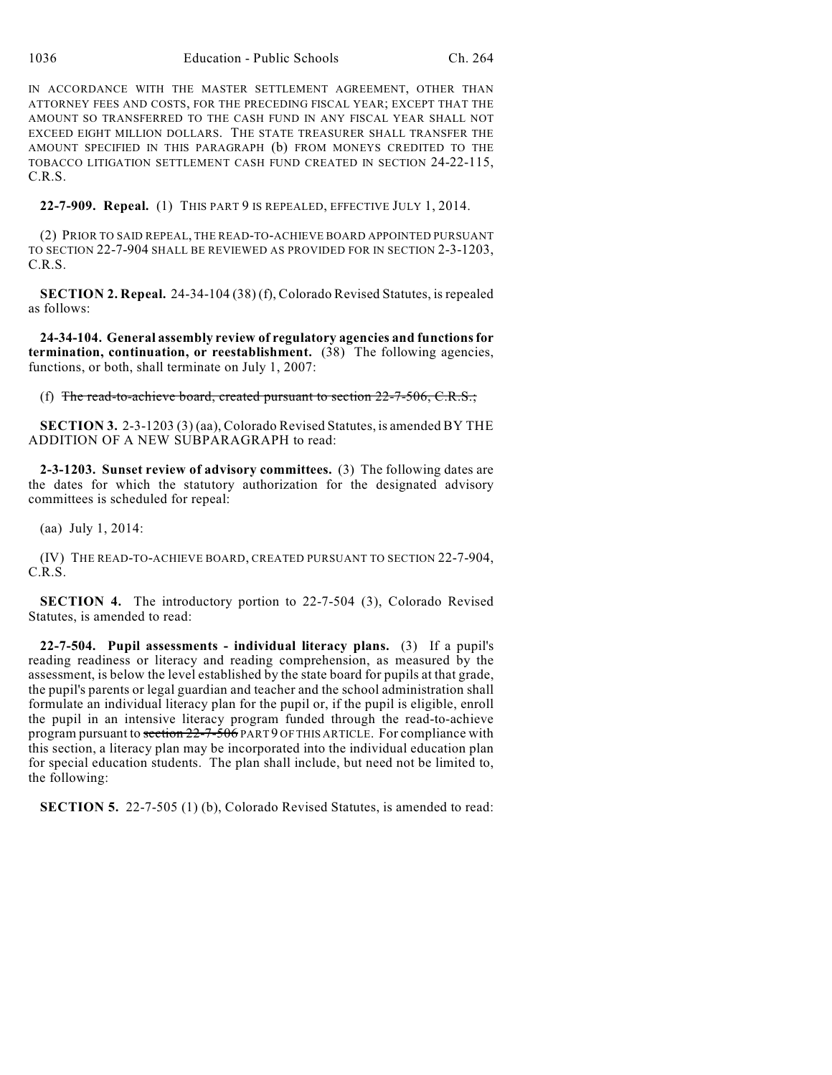IN ACCORDANCE WITH THE MASTER SETTLEMENT AGREEMENT, OTHER THAN ATTORNEY FEES AND COSTS, FOR THE PRECEDING FISCAL YEAR; EXCEPT THAT THE AMOUNT SO TRANSFERRED TO THE CASH FUND IN ANY FISCAL YEAR SHALL NOT EXCEED EIGHT MILLION DOLLARS. THE STATE TREASURER SHALL TRANSFER THE AMOUNT SPECIFIED IN THIS PARAGRAPH (b) FROM MONEYS CREDITED TO THE TOBACCO LITIGATION SETTLEMENT CASH FUND CREATED IN SECTION 24-22-115, C.R.S.

**22-7-909. Repeal.** (1) THIS PART 9 IS REPEALED, EFFECTIVE JULY 1, 2014.

(2) PRIOR TO SAID REPEAL, THE READ-TO-ACHIEVE BOARD APPOINTED PURSUANT TO SECTION 22-7-904 SHALL BE REVIEWED AS PROVIDED FOR IN SECTION 2-3-1203, C.R.S.

**SECTION 2. Repeal.** 24-34-104 (38) (f), Colorado Revised Statutes, is repealed as follows:

**24-34-104. General assembly review of regulatory agencies and functions for termination, continuation, or reestablishment.** (38) The following agencies, functions, or both, shall terminate on July 1, 2007:

(f) The read-to-achieve board, created pursuant to section  $22$ -7-506, C.R.S.;

**SECTION 3.** 2-3-1203 (3) (aa), Colorado Revised Statutes, is amended BY THE ADDITION OF A NEW SUBPARAGRAPH to read:

**2-3-1203. Sunset review of advisory committees.** (3) The following dates are the dates for which the statutory authorization for the designated advisory committees is scheduled for repeal:

(aa) July 1, 2014:

(IV) THE READ-TO-ACHIEVE BOARD, CREATED PURSUANT TO SECTION 22-7-904, C.R.S.

**SECTION 4.** The introductory portion to 22-7-504 (3), Colorado Revised Statutes, is amended to read:

**22-7-504. Pupil assessments - individual literacy plans.** (3) If a pupil's reading readiness or literacy and reading comprehension, as measured by the assessment, is below the level established by the state board for pupils at that grade, the pupil's parents or legal guardian and teacher and the school administration shall formulate an individual literacy plan for the pupil or, if the pupil is eligible, enroll the pupil in an intensive literacy program funded through the read-to-achieve program pursuant to section  $22-7-506$  PART 9 OF THIS ARTICLE. For compliance with this section, a literacy plan may be incorporated into the individual education plan for special education students. The plan shall include, but need not be limited to, the following:

**SECTION 5.** 22-7-505 (1) (b), Colorado Revised Statutes, is amended to read: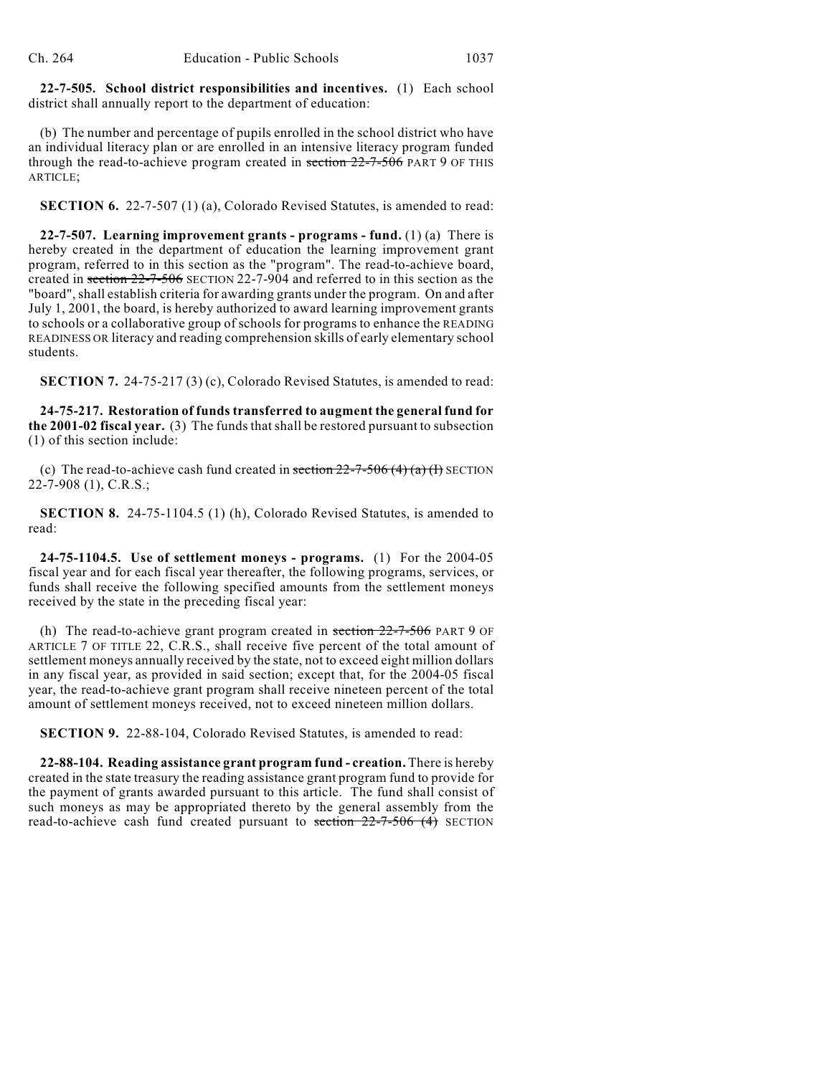**22-7-505. School district responsibilities and incentives.** (1) Each school district shall annually report to the department of education:

(b) The number and percentage of pupils enrolled in the school district who have an individual literacy plan or are enrolled in an intensive literacy program funded through the read-to-achieve program created in section  $22$ -7-506 PART 9 OF THIS ARTICLE;

**SECTION 6.** 22-7-507 (1) (a), Colorado Revised Statutes, is amended to read:

**22-7-507. Learning improvement grants - programs - fund.** (1) (a) There is hereby created in the department of education the learning improvement grant program, referred to in this section as the "program". The read-to-achieve board, created in section 22-7-506 SECTION 22-7-904 and referred to in this section as the "board", shall establish criteria for awarding grants under the program. On and after July 1, 2001, the board, is hereby authorized to award learning improvement grants to schools or a collaborative group of schools for programs to enhance the READING READINESS OR literacy and reading comprehension skills of early elementary school students.

**SECTION 7.** 24-75-217 (3) (c), Colorado Revised Statutes, is amended to read:

**24-75-217. Restoration of funds transferred to augment the general fund for the 2001-02 fiscal year.** (3) The funds that shall be restored pursuant to subsection (1) of this section include:

(c) The read-to-achieve cash fund created in section  $22-7-506$  (4) (a) (I) SECTION 22-7-908 (1), C.R.S.;

**SECTION 8.** 24-75-1104.5 (1) (h), Colorado Revised Statutes, is amended to read:

**24-75-1104.5. Use of settlement moneys - programs.** (1) For the 2004-05 fiscal year and for each fiscal year thereafter, the following programs, services, or funds shall receive the following specified amounts from the settlement moneys received by the state in the preceding fiscal year:

(h) The read-to-achieve grant program created in section  $22$ -7-506 PART 9 OF ARTICLE 7 OF TITLE 22, C.R.S., shall receive five percent of the total amount of settlement moneys annually received by the state, not to exceed eight million dollars in any fiscal year, as provided in said section; except that, for the 2004-05 fiscal year, the read-to-achieve grant program shall receive nineteen percent of the total amount of settlement moneys received, not to exceed nineteen million dollars.

**SECTION 9.** 22-88-104, Colorado Revised Statutes, is amended to read:

**22-88-104. Reading assistance grant program fund - creation.** There is hereby created in the state treasury the reading assistance grant program fund to provide for the payment of grants awarded pursuant to this article. The fund shall consist of such moneys as may be appropriated thereto by the general assembly from the read-to-achieve cash fund created pursuant to section  $22-7-506$  (4) SECTION